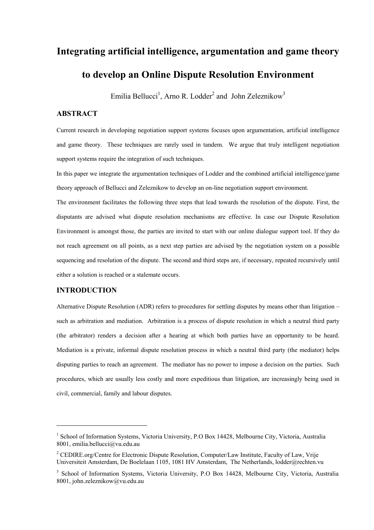# **Integrating artificial intelligence, argumentation and game theory to develop an Online Dispute Resolution Environment**

Emilia Bellucci<sup>1</sup>, Arno R. Lodder<sup>2</sup> and John Zeleznikow<sup>3</sup>

# **ABSTRACT**

Current research in developing negotiation support systems focuses upon argumentation, artificial intelligence and game theory. These techniques are rarely used in tandem. We argue that truly intelligent negotiation support systems require the integration of such techniques.

In this paper we integrate the argumentation techniques of Lodder and the combined artificial intelligence/game theory approach of Bellucci and Zeleznikow to develop an on-line negotiation support environment.

The environment facilitates the following three steps that lead towards the resolution of the dispute. First, the disputants are advised what dispute resolution mechanisms are effective. In case our Dispute Resolution Environment is amongst those, the parties are invited to start with our online dialogue support tool. If they do not reach agreement on all points, as a next step parties are advised by the negotiation system on a possible sequencing and resolution of the dispute. The second and third steps are, if necessary, repeated recursively until either a solution is reached or a stalemate occurs.

# **INTRODUCTION**

 $\overline{a}$ 

Alternative Dispute Resolution (ADR) refers to procedures for settling disputes by means other than litigation – such as arbitration and mediation. Arbitration is a process of dispute resolution in which a neutral third party (the arbitrator) renders a decision after a hearing at which both parties have an opportunity to be heard. Mediation is a private, informal dispute resolution process in which a neutral third party (the mediator) helps disputing parties to reach an agreement. The mediator has no power to impose a decision on the parties. Such procedures, which are usually less costly and more expeditious than litigation, are increasingly being used in civil, commercial, family and labour disputes.

<span id="page-0-0"></span><sup>&</sup>lt;sup>1</sup> School of Information Systems, Victoria University, P.O Box 14428, Melbourne City, Victoria, Australia 8001, emilia.bellucci@vu.edu.au

<span id="page-0-1"></span><sup>2</sup> CEDIRE.org/Centre for Electronic Dispute Resolution, Computer/Law Institute, Faculty of Law, Vrije Universiteit Amsterdam, De Boelelaan 1105, 1081 HV Amsterdam, The Netherlands, lodder@rechten.vu

<span id="page-0-2"></span><sup>3</sup> School of Information Systems, Victoria University, P.O Box 14428, Melbourne City, Victoria, Australia 8001, john.zeleznikow@vu.edu.au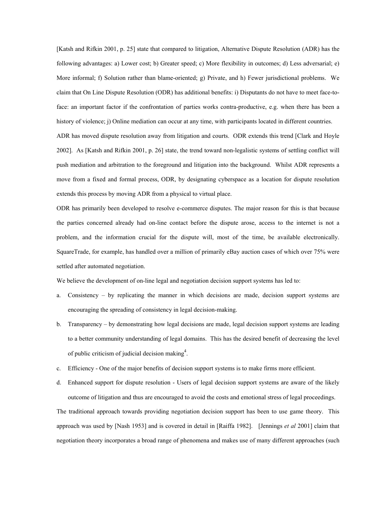[Katsh and Rifkin 2001, p. 25] state that compared to litigation, Alternative Dispute Resolution (ADR) has the following advantages: a) Lower cost; b) Greater speed; c) More flexibility in outcomes; d) Less adversarial; e) More informal; f) Solution rather than blame-oriented; g) Private, and h) Fewer jurisdictional problems. We claim that On Line Dispute Resolution (ODR) has additional benefits: i) Disputants do not have to meet face-toface: an important factor if the confrontation of parties works contra-productive, e.g. when there has been a history of violence; j) Online mediation can occur at any time, with participants located in different countries.

ADR has moved dispute resolution away from litigation and courts. ODR extends this trend [Clark and Hoyle 2002]. As [Katsh and Rifkin 2001, p. 26] state, the trend toward non-legalistic systems of settling conflict will push mediation and arbitration to the foreground and litigation into the background. Whilst ADR represents a move from a fixed and formal process, ODR, by designating cyberspace as a location for dispute resolution extends this process by moving ADR from a physical to virtual place.

ODR has primarily been developed to resolve e-commerce disputes. The major reason for this is that because the parties concerned already had on-line contact before the dispute arose, access to the internet is not a problem, and the information crucial for the dispute will, most of the time, be available electronically. SquareTrade, for example, has handled over a million of primarily eBay auction cases of which over 75% were settled after automated negotiation.

We believe the development of on-line legal and negotiation decision support systems has led to:

- a. Consistency by replicating the manner in which decisions are made, decision support systems are encouraging the spreading of consistency in legal decision-making.
- b. Transparency by demonstrating how legal decisions are made, legal decision support systems are leading to a better community understanding of legal domains. This has the desired benefit of decreasing the level of public criticism of judicial decision making<sup>4</sup>.
- c. Efficiency One of the major benefits of decision support systems is to make firms more efficient.
- d. Enhanced support for dispute resolution Users of legal decision support systems are aware of the likely outcome of litigation and thus are encouraged to avoid the costs and emotional stress of legal proceedings.

<span id="page-1-0"></span>The traditional approach towards providing negotiation decision support has been to use game theory. This approach was used by [Nash 1953] and is covered in detail in [Raiffa 1982]. [Jennings *et al* 2001] claim that negotiation theory incorporates a broad range of phenomena and makes use of many different approaches (such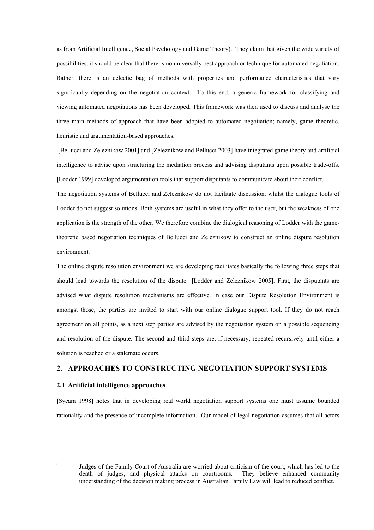as from Artificial Intelligence, Social Psychology and Game Theory). They claim that given the wide variety of possibilities, it should be clear that there is no universally best approach or technique for automated negotiation. Rather, there is an eclectic bag of methods with properties and performance characteristics that vary significantly depending on the negotiation context. To this end, a generic framework for classifying and viewing automated negotiations has been developed. This framework was then used to discuss and analyse the three main methods of approach that have been adopted to automated negotiation; namely, game theoretic, heuristic and argumentation-based approaches.

 [Bellucci and Zeleznikow 2001] and [Zeleznikow and Bellucci 2003] have integrated game theory and artificial intelligence to advise upon structuring the mediation process and advising disputants upon possible trade-offs. [Lodder 1999] developed argumentation tools that support disputants to communicate about their conflict.

The negotiation systems of Bellucci and Zeleznikow do not facilitate discussion, whilst the dialogue tools of Lodder do not suggest solutions. Both systems are useful in what they offer to the user, but the weakness of one application is the strength of the other. We therefore combine the dialogical reasoning of Lodder with the gametheoretic based negotiation techniques of Bellucci and Zeleznikow to construct an online dispute resolution environment.

The online dispute resolution environment we are developing facilitates basically the following three steps that should lead towards the resolution of the dispute [Lodder and Zeleznikow 2005]. First, the disputants are advised what dispute resolution mechanisms are effective. In case our Dispute Resolution Environment is amongst those, the parties are invited to start with our online dialogue support tool. If they do not reach agreement on all points, as a next step parties are advised by the negotiation system on a possible sequencing and resolution of the dispute. The second and third steps are, if necessary, repeated recursively until either a solution is reached or a stalemate occurs.

# **2. APPROACHES TO CONSTRUCTING NEGOTIATION SUPPORT SYSTEMS**

## **2.1 Artificial intelligence approaches**

[Sycara 1998] notes that in developing real world negotiation support systems one must assume bounded rationality and the presence of incomplete information. Our model of legal negotiation assumes that all actors

 $\overline{a}$ 

<sup>&</sup>lt;sup>4</sup> Judges of the Family Court of Australia are worried about criticism of the court, which has led to the death of judges, and physical attacks on courtrooms. They believe enhanced community understanding of the decision making process in Australian Family Law will lead to reduced conflict.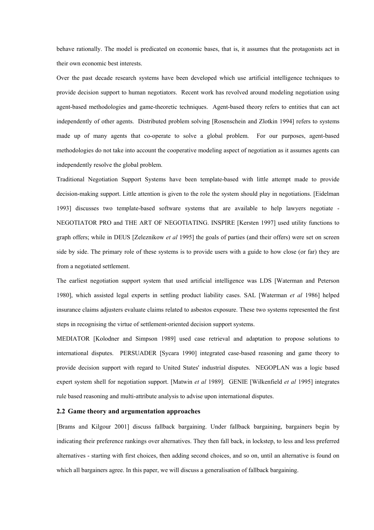behave rationally. The model is predicated on economic bases, that is, it assumes that the protagonists act in their own economic best interests.

Over the past decade research systems have been developed which use artificial intelligence techniques to provide decision support to human negotiators. Recent work has revolved around modeling negotiation using agent-based methodologies and game-theoretic techniques. Agent-based theory refers to entities that can act independently of other agents. Distributed problem solving [Rosenschein and Zlotkin 1994] refers to systems made up of many agents that co-operate to solve a global problem. For our purposes, agent-based methodologies do not take into account the cooperative modeling aspect of negotiation as it assumes agents can independently resolve the global problem.

Traditional Negotiation Support Systems have been template-based with little attempt made to provide decision-making support. Little attention is given to the role the system should play in negotiations. [Eidelman 1993] discusses two template-based software systems that are available to help lawyers negotiate - NEGOTIATOR PRO and THE ART OF NEGOTIATING. INSPIRE [Kersten 1997] used utility functions to graph offers; while in DEUS [Zeleznikow *et al* 1995] the goals of parties (and their offers) were set on screen side by side. The primary role of these systems is to provide users with a guide to how close (or far) they are from a negotiated settlement.

The earliest negotiation support system that used artificial intelligence was LDS [Waterman and Peterson 1980], which assisted legal experts in settling product liability cases. SAL [Waterman *et al* 1986] helped insurance claims adjusters evaluate claims related to asbestos exposure. These two systems represented the first steps in recognising the virtue of settlement-oriented decision support systems.

MEDIATOR [Kolodner and Simpson 1989] used case retrieval and adaptation to propose solutions to international disputes. PERSUADER [Sycara 1990] integrated case-based reasoning and game theory to provide decision support with regard to United States' industrial disputes. NEGOPLAN was a logic based expert system shell for negotiation support. [Matwin *et al* 1989]. GENIE [Wilkenfield *et al* 1995] integrates rule based reasoning and multi-attribute analysis to advise upon international disputes.

## **2.2 Game theory and argumentation approaches**

[Brams and Kilgour 2001] discuss fallback bargaining. Under fallback bargaining, bargainers begin by indicating their preference rankings over alternatives. They then fall back, in lockstep, to less and less preferred alternatives - starting with first choices, then adding second choices, and so on, until an alternative is found on which all bargainers agree. In this paper, we will discuss a generalisation of fallback bargaining.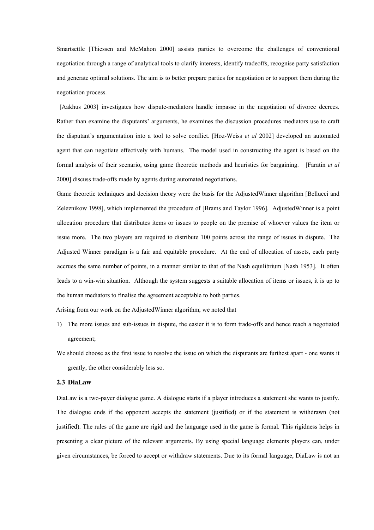Smartsettle [Thiessen and McMahon 2000] assists parties to overcome the challenges of conventional negotiation through a range of analytical tools to clarify interests, identify tradeoffs, recognise party satisfaction and generate optimal solutions. The aim is to better prepare parties for negotiation or to support them during the negotiation process.

 [Aakhus 2003] investigates how dispute-mediators handle impasse in the negotiation of divorce decrees. Rather than examine the disputants' arguments, he examines the discussion procedures mediators use to craft the disputant's argumentation into a tool to solve conflict. [Hoz-Weiss *et al* 2002] developed an automated agent that can negotiate effectively with humans. The model used in constructing the agent is based on the formal analysis of their scenario, using game theoretic methods and heuristics for bargaining. [Faratin *et al* 2000] discuss trade-offs made by agents during automated negotiations.

Game theoretic techniques and decision theory were the basis for the AdjustedWinner algorithm [Bellucci and Zeleznikow 1998], which implemented the procedure of [Brams and Taylor 1996]. AdjustedWinner is a point allocation procedure that distributes items or issues to people on the premise of whoever values the item or issue more. The two players are required to distribute 100 points across the range of issues in dispute. The Adjusted Winner paradigm is a fair and equitable procedure. At the end of allocation of assets, each party accrues the same number of points, in a manner similar to that of the Nash equilibrium [Nash 1953]. It often leads to a win-win situation. Although the system suggests a suitable allocation of items or issues, it is up to the human mediators to finalise the agreement acceptable to both parties.

Arising from our work on the AdjustedWinner algorithm, we noted that

- 1) The more issues and sub-issues in dispute, the easier it is to form trade-offs and hence reach a negotiated agreement;
- We should choose as the first issue to resolve the issue on which the disputants are furthest apart one wants it greatly, the other considerably less so.

## **2.3 DiaLaw**

DiaLaw is a two-payer dialogue game. A dialogue starts if a player introduces a statement she wants to justify. The dialogue ends if the opponent accepts the statement (justified) or if the statement is withdrawn (not justified). The rules of the game are rigid and the language used in the game is formal. This rigidness helps in presenting a clear picture of the relevant arguments. By using special language elements players can, under given circumstances, be forced to accept or withdraw statements. Due to its formal language, DiaLaw is not an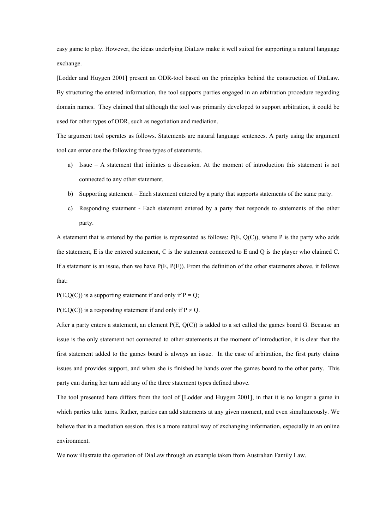easy game to play. However, the ideas underlying DiaLaw make it well suited for supporting a natural language exchange.

[Lodder and Huygen 2001] present an ODR-tool based on the principles behind the construction of DiaLaw. By structuring the entered information, the tool supports parties engaged in an arbitration procedure regarding domain names. They claimed that although the tool was primarily developed to support arbitration, it could be used for other types of ODR, such as negotiation and mediation.

The argument tool operates as follows. Statements are natural language sentences. A party using the argument tool can enter one the following three types of statements.

- a) Issue A statement that initiates a discussion. At the moment of introduction this statement is not connected to any other statement.
- b) Supporting statement Each statement entered by a party that supports statements of the same party.
- c) Responding statement Each statement entered by a party that responds to statements of the other party.

A statement that is entered by the parties is represented as follows: P(E, Q(C)), where P is the party who adds the statement, E is the entered statement, C is the statement connected to E and Q is the player who claimed C. If a statement is an issue, then we have  $P(E, P(E))$ . From the definition of the other statements above, it follows that:

 $P(E,Q(C))$  is a supporting statement if and only if  $P = Q$ ;

 $P(E,Q(C))$  is a responding statement if and only if  $P \neq Q$ .

After a party enters a statement, an element  $P(E, Q(C))$  is added to a set called the games board G. Because an issue is the only statement not connected to other statements at the moment of introduction, it is clear that the first statement added to the games board is always an issue. In the case of arbitration, the first party claims issues and provides support, and when she is finished he hands over the games board to the other party. This party can during her turn add any of the three statement types defined above.

The tool presented here differs from the tool of [Lodder and Huygen 2001], in that it is no longer a game in which parties take turns. Rather, parties can add statements at any given moment, and even simultaneously. We believe that in a mediation session, this is a more natural way of exchanging information, especially in an online environment.

We now illustrate the operation of DiaLaw through an example taken from Australian Family Law.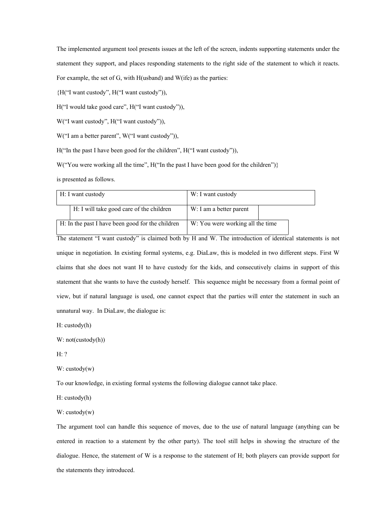The implemented argument tool presents issues at the left of the screen, indents supporting statements under the statement they support, and places responding statements to the right side of the statement to which it reacts. For example, the set of G, with H(usband) and W(ife) as the parties:

{H("I want custody", H("I want custody")),

H("I would take good care", H("I want custody")),

W("I want custody", H("I want custody")),

W("I am a better parent", W("I want custody")).

H("In the past I have been good for the children", H("I want custody")),

W("You were working all the time", H("In the past I have been good for the children")}

is presented as follows.

| H: I want custody                                |                                          | W: I want custody                |  |
|--------------------------------------------------|------------------------------------------|----------------------------------|--|
|                                                  | H: I will take good care of the children | W: I am a better parent          |  |
| H: In the past I have been good for the children |                                          | W: You were working all the time |  |

The statement "I want custody" is claimed both by H and W. The introduction of identical statements is not unique in negotiation. In existing formal systems, e.g. DiaLaw, this is modeled in two different steps. First W claims that she does not want H to have custody for the kids, and consecutively claims in support of this statement that she wants to have the custody herself. This sequence might be necessary from a formal point of view, but if natural language is used, one cannot expect that the parties will enter the statement in such an unnatural way. In DiaLaw, the dialogue is:

H: custody(h)

W: not(custody(h))

H: ?

```
W: custody(w)
```
To our knowledge, in existing formal systems the following dialogue cannot take place.

H: custody(h)

W: custody(w)

The argument tool can handle this sequence of moves, due to the use of natural language (anything can be entered in reaction to a statement by the other party). The tool still helps in showing the structure of the dialogue. Hence, the statement of W is a response to the statement of H; both players can provide support for the statements they introduced.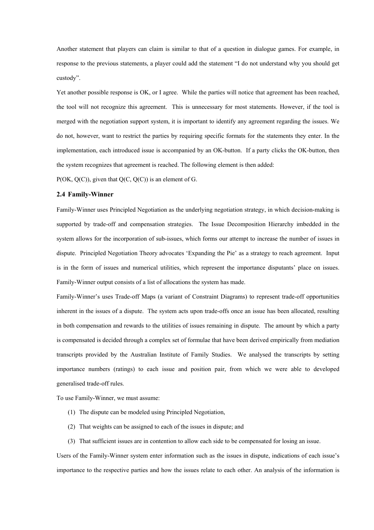Another statement that players can claim is similar to that of a question in dialogue games. For example, in response to the previous statements, a player could add the statement "I do not understand why you should get custody".

Yet another possible response is OK, or I agree. While the parties will notice that agreement has been reached, the tool will not recognize this agreement. This is unnecessary for most statements. However, if the tool is merged with the negotiation support system, it is important to identify any agreement regarding the issues. We do not, however, want to restrict the parties by requiring specific formats for the statements they enter. In the implementation, each introduced issue is accompanied by an OK-button. If a party clicks the OK-button, then the system recognizes that agreement is reached. The following element is then added:

 $P(OK, Q(C))$ , given that  $Q(C, Q(C))$  is an element of G.

#### **2.4 Family-Winner**

Family-Winner uses Principled Negotiation as the underlying negotiation strategy, in which decision-making is supported by trade-off and compensation strategies. The Issue Decomposition Hierarchy imbedded in the system allows for the incorporation of sub-issues, which forms our attempt to increase the number of issues in dispute. Principled Negotiation Theory advocates 'Expanding the Pie' as a strategy to reach agreement. Input is in the form of issues and numerical utilities, which represent the importance disputants' place on issues. Family-Winner output consists of a list of allocations the system has made.

Family-Winner's uses Trade-off Maps (a variant of Constraint Diagrams) to represent trade-off opportunities inherent in the issues of a dispute. The system acts upon trade-offs once an issue has been allocated, resulting in both compensation and rewards to the utilities of issues remaining in dispute. The amount by which a party is compensated is decided through a complex set of formulae that have been derived empirically from mediation transcripts provided by the Australian Institute of Family Studies. We analysed the transcripts by setting importance numbers (ratings) to each issue and position pair, from which we were able to developed generalised trade-off rules.

To use Family-Winner, we must assume:

- (1) The dispute can be modeled using Principled Negotiation,
- (2) That weights can be assigned to each of the issues in dispute; and
- (3) That sufficient issues are in contention to allow each side to be compensated for losing an issue.

Users of the Family-Winner system enter information such as the issues in dispute, indications of each issue's importance to the respective parties and how the issues relate to each other. An analysis of the information is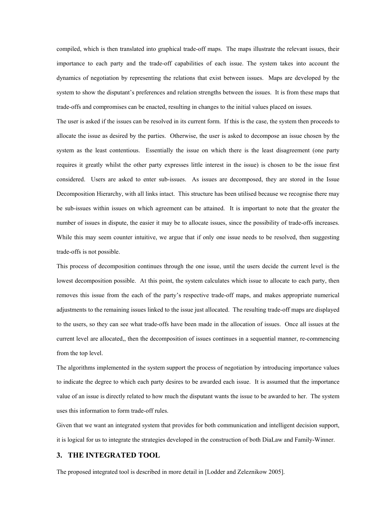compiled, which is then translated into graphical trade-off maps. The maps illustrate the relevant issues, their importance to each party and the trade-off capabilities of each issue. The system takes into account the dynamics of negotiation by representing the relations that exist between issues. Maps are developed by the system to show the disputant's preferences and relation strengths between the issues. It is from these maps that trade-offs and compromises can be enacted, resulting in changes to the initial values placed on issues.

The user is asked if the issues can be resolved in its current form. If this is the case, the system then proceeds to allocate the issue as desired by the parties. Otherwise, the user is asked to decompose an issue chosen by the system as the least contentious. Essentially the issue on which there is the least disagreement (one party requires it greatly whilst the other party expresses little interest in the issue) is chosen to be the issue first considered. Users are asked to enter sub-issues. As issues are decomposed, they are stored in the Issue Decomposition Hierarchy, with all links intact. This structure has been utilised because we recognise there may be sub-issues within issues on which agreement can be attained. It is important to note that the greater the number of issues in dispute, the easier it may be to allocate issues, since the possibility of trade-offs increases. While this may seem counter intuitive, we argue that if only one issue needs to be resolved, then suggesting trade-offs is not possible.

This process of decomposition continues through the one issue, until the users decide the current level is the lowest decomposition possible. At this point, the system calculates which issue to allocate to each party, then removes this issue from the each of the party's respective trade-off maps, and makes appropriate numerical adjustments to the remaining issues linked to the issue just allocated. The resulting trade-off maps are displayed to the users, so they can see what trade-offs have been made in the allocation of issues. Once all issues at the current level are allocated,, then the decomposition of issues continues in a sequential manner, re-commencing from the top level.

The algorithms implemented in the system support the process of negotiation by introducing importance values to indicate the degree to which each party desires to be awarded each issue. It is assumed that the importance value of an issue is directly related to how much the disputant wants the issue to be awarded to her. The system uses this information to form trade-off rules.

Given that we want an integrated system that provides for both communication and intelligent decision support, it is logical for us to integrate the strategies developed in the construction of both DiaLaw and Family-Winner.

# **3. THE INTEGRATED TOOL**

The proposed integrated tool is described in more detail in [Lodder and Zeleznikow 2005].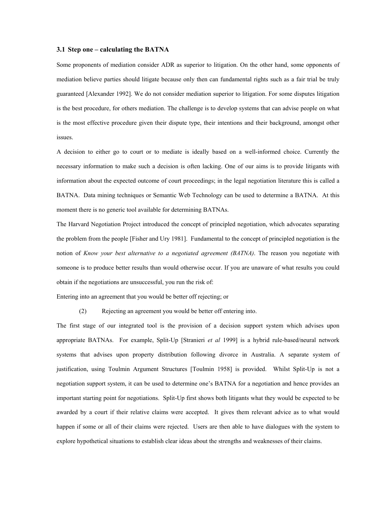#### **3.1 Step one – calculating the BATNA**

Some proponents of mediation consider ADR as superior to litigation. On the other hand, some opponents of mediation believe parties should litigate because only then can fundamental rights such as a fair trial be truly guaranteed [Alexander 1992]. We do not consider mediation superior to litigation. For some disputes litigation is the best procedure, for others mediation. The challenge is to develop systems that can advise people on what is the most effective procedure given their dispute type, their intentions and their background, amongst other issues.

A decision to either go to court or to mediate is ideally based on a well-informed choice. Currently the necessary information to make such a decision is often lacking. One of our aims is to provide litigants with information about the expected outcome of court proceedings; in the legal negotiation literature this is called a BATNA. Data mining techniques or Semantic Web Technology can be used to determine a BATNA. At this moment there is no generic tool available for determining BATNAs.

The Harvard Negotiation Project introduced the concept of principled negotiation, which advocates separating the problem from the people [Fisher and Ury 1981]. Fundamental to the concept of principled negotiation is the notion of *Know your best alternative to a negotiated agreement (BATNA)*. The reason you negotiate with someone is to produce better results than would otherwise occur. If you are unaware of what results you could obtain if the negotiations are unsuccessful, you run the risk of:

Entering into an agreement that you would be better off rejecting; or

(2) Rejecting an agreement you would be better off entering into.

The first stage of our integrated tool is the provision of a decision support system which advises upon appropriate BATNAs. For example, Split-Up [Stranieri *et al* 1999] is a hybrid rule-based/neural network systems that advises upon property distribution following divorce in Australia. A separate system of justification, using Toulmin Argument Structures [Toulmin 1958] is provided. Whilst Split-Up is not a negotiation support system, it can be used to determine one's BATNA for a negotiation and hence provides an important starting point for negotiations. Split-Up first shows both litigants what they would be expected to be awarded by a court if their relative claims were accepted. It gives them relevant advice as to what would happen if some or all of their claims were rejected. Users are then able to have dialogues with the system to explore hypothetical situations to establish clear ideas about the strengths and weaknesses of their claims.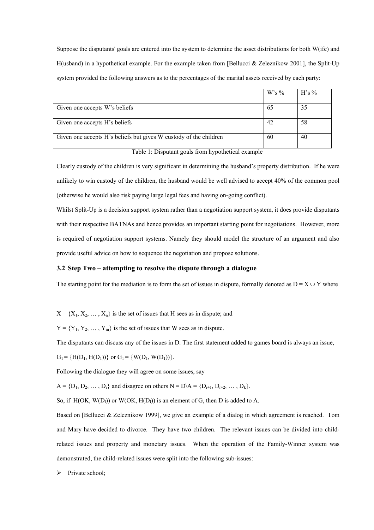Suppose the disputants' goals are entered into the system to determine the asset distributions for both W(ife) and H(usband) in a hypothetical example. For the example taken from [Bellucci & Zeleznikow 2001], the Split-Up system provided the following answers as to the percentages of the marital assets received by each party:

|                                                                   | $W$ 's % | $H's\%$ |
|-------------------------------------------------------------------|----------|---------|
| Given one accepts W's beliefs                                     | 65       | 35      |
| Given one accepts H's beliefs                                     | 42       | 58      |
| Given one accepts H's beliefs but gives W custody of the children | 60       | 40      |

Table 1: Disputant goals from hypothetical example

Clearly custody of the children is very significant in determining the husband's property distribution. If he were unlikely to win custody of the children, the husband would be well advised to accept 40% of the common pool (otherwise he would also risk paying large legal fees and having on-going conflict).

Whilst Split-Up is a decision support system rather than a negotiation support system, it does provide disputants with their respective BATNAs and hence provides an important starting point for negotiations. However, more is required of negotiation support systems. Namely they should model the structure of an argument and also provide useful advice on how to sequence the negotiation and propose solutions.

## **3.2 Step Two – attempting to resolve the dispute through a dialogue**

The starting point for the mediation is to form the set of issues in dispute, formally denoted as  $D = X \cup Y$  where

 $X = \{X_1, X_2, \dots, X_n\}$  is the set of issues that H sees as in dispute; and

 $Y = {Y_1, Y_2, \ldots, Y_m}$  is the set of issues that W sees as in dispute.

The disputants can discuss any of the issues in D. The first statement added to games board is always an issue,

 $G_1$  = {H(D<sub>1</sub>, H(D<sub>1</sub>))} or  $G_1$  = {W(D<sub>1</sub>, W(D<sub>1</sub>))}.

Following the dialogue they will agree on some issues, say

 $A = {D_1, D_2, ..., D_r}$  and disagree on others  $N = D \ A = {D_{r+1}, D_{r+2}, ..., D_k}.$ 

So, if  $H(OK, W(D_i))$  or  $W(OK, H(D_i))$  is an element of G, then D is added to A.

Based on [Bellucci & Zeleznikow 1999], we give an example of a dialog in which agreement is reached. Tom and Mary have decided to divorce. They have two children. The relevant issues can be divided into childrelated issues and property and monetary issues. When the operation of the Family-Winner system was demonstrated, the child-related issues were split into the following sub-issues:

 $\triangleright$  Private school;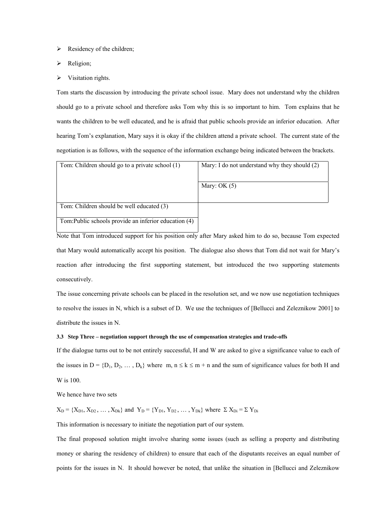- $\triangleright$  Residency of the children;
- $\triangleright$  Religion;
- $\triangleright$  Visitation rights.

Tom starts the discussion by introducing the private school issue. Mary does not understand why the children should go to a private school and therefore asks Tom why this is so important to him. Tom explains that he wants the children to be well educated, and he is afraid that public schools provide an inferior education. After hearing Tom's explanation. Mary says it is okay if the children attend a private school. The current state of the negotiation is as follows, with the sequence of the information exchange being indicated between the brackets.

| Tom: Children should go to a private school (1)       | Mary: I do not understand why they should (2) |
|-------------------------------------------------------|-----------------------------------------------|
|                                                       |                                               |
|                                                       |                                               |
|                                                       | Mary: OK $(5)$                                |
|                                                       |                                               |
|                                                       |                                               |
| Tom: Children should be well educated (3)             |                                               |
|                                                       |                                               |
| Tom: Public schools provide an inferior education (4) |                                               |
|                                                       |                                               |

Note that Tom introduced support for his position only after Mary asked him to do so, because Tom expected that Mary would automatically accept his position. The dialogue also shows that Tom did not wait for Mary's reaction after introducing the first supporting statement, but introduced the two supporting statements consecutively.

The issue concerning private schools can be placed in the resolution set, and we now use negotiation techniques to resolve the issues in N, which is a subset of D. We use the techniques of [Bellucci and Zeleznikow 2001] to distribute the issues in N.

#### **3.3 Step Three – negotiation support through the use of compensation strategies and trade-offs**

If the dialogue turns out to be not entirely successful, H and W are asked to give a significance value to each of the issues in  $D = \{D_1, D_2, \dots, D_k\}$  where  $m, n \leq k \leq m + n$  and the sum of significance values for both H and W is 100.

We hence have two sets

 $X_D = \{X_{D1}, X_{D2}, \dots, X_{Dk}\}\$  and  $Y_D = \{Y_{D1}, Y_{D2}, \dots, Y_{Dk}\}\$  where  $\Sigma X_{Di} = \Sigma Y_{Di}$ 

This information is necessary to initiate the negotiation part of our system.

The final proposed solution might involve sharing some issues (such as selling a property and distributing money or sharing the residency of children) to ensure that each of the disputants receives an equal number of points for the issues in N. It should however be noted, that unlike the situation in [Bellucci and Zeleznikow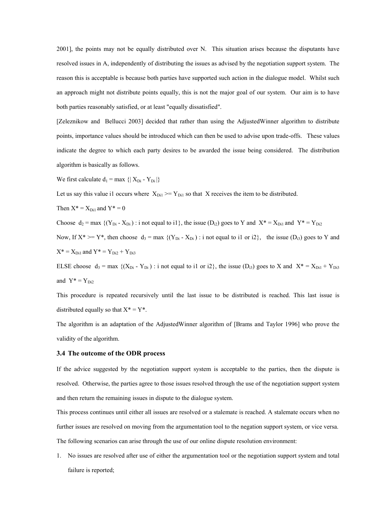2001], the points may not be equally distributed over N. This situation arises because the disputants have resolved issues in A, independently of distributing the issues as advised by the negotiation support system. The reason this is acceptable is because both parties have supported such action in the dialogue model. Whilst such an approach might not distribute points equally, this is not the major goal of our system. Our aim is to have both parties reasonably satisfied, or at least "equally dissatisfied".

[Zeleznikow and Bellucci 2003] decided that rather than using the AdjustedWinner algorithm to distribute points, importance values should be introduced which can then be used to advise upon trade-offs. These values indicate the degree to which each party desires to be awarded the issue being considered. The distribution algorithm is basically as follows.

We first calculate  $d_1 = max \{ | X_{Di} - Y_{Di} | \}$ 

Let us say this value i1 occurs where  $X_{Di1}$  >=  $Y_{Di1}$  so that X receives the item to be distributed.

Then  $X^* = X_{\text{Dil}}$  and  $Y^* = 0$ 

Choose  $d_2 = max \{(Y_{Di} - X_{Di}) : i \text{ not equal to } i1\}$ , the issue  $(D_{i2})$  goes to Y and  $X^* = X_{Di1}$  and  $Y^* = Y_{Di2}$ 

Now, If  $X^* \ge Y^*$ , then choose  $d_3 = \max \{(Y_{Di} - X_{Di}) : i \text{ not equal to } i1 \text{ or } i2\}$ , the issue  $(D_{i3})$  goes to Y and  $X^* = X_{\text{Di1}}$  and  $Y^* = Y_{\text{Di2}} + Y_{\text{Di3}}$ 

ELSE choose  $d_3 = max \{(X_{Di} - Y_{Di}) : i \text{ not equal to } i1 \text{ or } i2\}$ , the issue  $(D_{i3})$  goes to X and  $X^* = X_{Di1} + Y_{Di3}$ and  $Y^* = Y_{\text{Di2}}$ 

This procedure is repeated recursively until the last issue to be distributed is reached. This last issue is distributed equally so that  $X^* = Y^*$ .

The algorithm is an adaptation of the AdjustedWinner algorithm of [Brams and Taylor 1996] who prove the validity of the algorithm.

## **3.4 The outcome of the ODR process**

If the advice suggested by the negotiation support system is acceptable to the parties, then the dispute is resolved. Otherwise, the parties agree to those issues resolved through the use of the negotiation support system and then return the remaining issues in dispute to the dialogue system.

This process continues until either all issues are resolved or a stalemate is reached. A stalemate occurs when no further issues are resolved on moving from the argumentation tool to the negation support system, or vice versa. The following scenarios can arise through the use of our online dispute resolution environment:

1. No issues are resolved after use of either the argumentation tool or the negotiation support system and total failure is reported;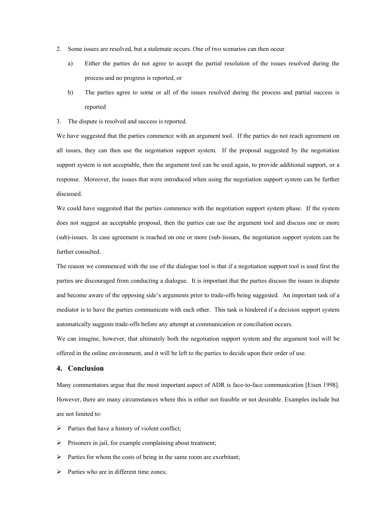- 2. Some issues are resolved, but a stalemate occurs. One of two scenarios can then occur
	- a) Either the parties do not agree to accept the partial resolution of the issues resolved during the process and no progress is reported, or
	- b) The parties agree to some or all of the issues resolved during the process and partial success is reported
- 3. The dispute is resolved and success is reported.

We have suggested that the parties commence with an argument tool. If the parties do not reach agreement on all issues, they can then use the negotiation support system. If the proposal suggested by the negotiation support system is not acceptable, then the argument tool can be used again, to provide additional support, or a response. Moreover, the issues that were introduced when using the negotiation support system can be further discussed.

We could have suggested that the parties commence with the negotiation support system phase. If the system does not suggest an acceptable proposal, then the parties can use the argument tool and discuss one or more (sub)-issues. In case agreement is reached on one or more (sub-)issues, the negotiation support system can be further consulted.

The reason we commenced with the use of the dialogue tool is that if a negotiation support tool is used first the parties are discouraged from conducting a dialogue. It is important that the parties discuss the issues in dispute and become aware of the opposing side's arguments prior to trade-offs being suggested. An important task of a mediator is to have the parties communicate with each other. This task is hindered if a decision support system automatically suggests trade-offs before any attempt at communication or conciliation occurs.

We can imagine, however, that ultimately both the negotiation support system and the argument tool will be offered in the online environment, and it will be left to the parties to decide upon their order of use.

# **4. Conclusion**

Many commentators argue that the most important aspect of ADR is face-to-face communication [Eisen 1998]. However, there are many circumstances where this is either not feasible or not desirable. Examples include but are not limited to:

- $\triangleright$  Parties that have a history of violent conflict;
- $\triangleright$  Prisoners in jail, for example complaining about treatment;
- $\triangleright$  Parties for whom the costs of being in the same room are exorbitant;
- $\triangleright$  Parties who are in different time zones;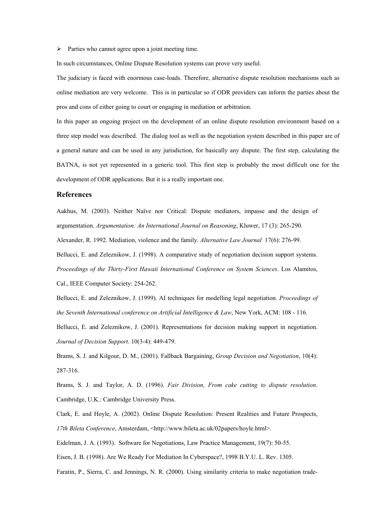$\triangleright$  Parties who cannot agree upon a joint meeting time.

In such circumstances, Online Dispute Resolution systems can prove very useful.

The judiciary is faced with enormous case-loads. Therefore, alternative dispute resolution mechanisms such as online mediation are very welcome. This is in particular so if ODR providers can inform the parties about the pros and cons of either going to court or engaging in mediation or arbitration.

In this paper an ongoing project on the development of an online dispute resolution environment based on a three step model was described. The dialog tool as well as the negotiation system described in this paper are of a general nature and can be used in any jurisdiction, for basically any dispute. The first step, calculating the BATNA, is not yet represented in a generic tool. This first step is probably the most difficult one for the development of ODR applications. But it is a really important one.

### **References**

Aakhus, M. (2003). Neither Naïve nor Critical: Dispute mediators, impasse and the design of argumentation. *Argumentation: An International Journal on Reasoning*, Kluwer, 17 (3): 265-290.

Alexander, R. 1992. Mediation, violence and the family. *Alternative Law Journal* 17(6): 276-99.

Bellucci, E. and Zeleznikow, J. (1998). A comparative study of negotiation decision support systems.

*Proceedings of the Thirty-First Hawaii International Conference on System Sciences*. Los Alamitos,

Cal., IEEE Computer Society: 254-262.

Bellucci, E. and Zeleznikow, J. (1999). AI techniques for modelling legal negotiation. *Proceedings of the Seventh International conference on Artificial Intelligence & Law*, New York, ACM: 108 - 116.

Bellucci, E. and Zeleznikow, J. (2001). Representations for decision making support in negotiation. *Journal of Decision Support*. 10(3-4): 449-479.

Brams, S. J. and Kilgour, D. M., (2001). Fallback Bargaining, *Group Decision and Negotiation*, 10(4): 287-316.

Brams, S. J. and Taylor, A. D. (1996). *Fair Division, From cake cutting to dispute resolution*. Cambridge, U.K.: Cambridge University Press.

Clark, E. and Hoyle, A. (2002). Online Dispute Resolution: Present Realities and Future Prospects, *17th Bileta Conference*, Amsterdam, <http://www.bileta.ac.uk/02papers/hoyle.html>.

Eidelman, J. A. (1993). Software for Negotiations, Law Practice Management, 19(7): 50-55.

Eisen, J. B. (1998). Are We Ready For Mediation In Cyberspace?, 1998 B.Y.U. L. Rev. 1305.

Faratin, P., Sierra, C. and Jennings, N. R. (2000). Using similarity criteria to make negotiation trade-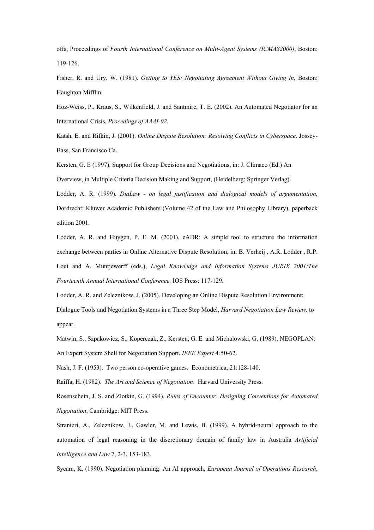offs, Proceedings of *Fourth International Conference on Multi-Agent Systems (ICMAS2000)*, Boston: 119-126.

Fisher, R. and Ury, W. (1981). *Getting to YES: Negotiating Agreement Without Giving In*, Boston: Haughton Mifflin.

Hoz-Weiss, P., Kraus, S., Wilkenfield, J. and Santmire, T. E. (2002). An Automated Negotiator for an International Crisis, *Procedings of AAAI-02*.

Katsh, E. and Rifkin, J. (2001). *Online Dispute Resolution: Resolving Conflicts in Cyberspace*. Jossey-Bass, San Francisco Ca.

Kersten, G. E (1997). Support for Group Decisions and Negotiations, in: J. Climaco (Ed.) An

Overview, in Multiple Criteria Decision Making and Support, (Heidelberg: Springer Verlag).

Lodder, A. R. (1999). *DiaLaw - on legal justification and dialogical models of argumentation*, Dordrecht: Kluwer Academic Publishers (Volume 42 of the Law and Philosophy Library), paperback edition 2001.

Lodder, A. R. and Huygen, P. E. M. (2001). eADR: A simple tool to structure the information exchange between parties in Online Alternative Dispute Resolution, in: B. Verheij , A.R. Lodder , R.P. Loui and A. Muntjewerff (eds.), *Legal Knowledge and Information Systems JURIX 2001:The Fourteenth Annual International Conference,* IOS Press: 117-129.

Lodder, A. R. and Zeleznikow, J. (2005). Developing an Online Dispute Resolution Environment: Dialogue Tools and Negotiation Systems in a Three Step Model, *Harvard Negotiation Law Review,* to appear.

Matwin, S., Szpakowicz, S., Koperczak, Z., Kersten, G. E. and Michalowski, G. (1989). NEGOPLAN: An Expert System Shell for Negotiation Support, *IEEE Expert* 4*:*50-62.

Nash, J. F. (1953). Two person co-operative games. Econometrica, 21:128-140.

Raiffa, H. (1982). *The Art and Science of Negotiation*. Harvard University Press.

Rosenschein, J. S. and Zlotkin, G. (1994). *Rules of Encounter: Designing Conventions for Automated Negotiation*, Cambridge: MIT Press.

Stranieri, A., Zeleznikow, J., Gawler, M. and Lewis, B. (1999). A hybrid-neural approach to the automation of legal reasoning in the discretionary domain of family law in Australia *Artificial Intelligence and Law* 7, 2-3, 153-183.

Sycara, K. (1990). Negotiation planning: An AI approach, *European Journal of Operations Research*,